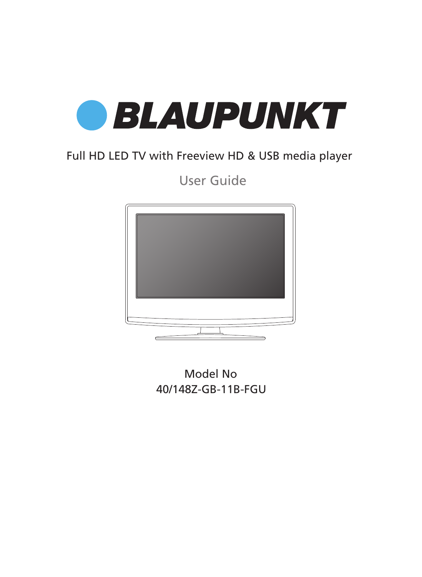

## Full HD LED TV with Freeview HD & USB media player

User Guide



Model No 40/148Z-GB-11B-FGU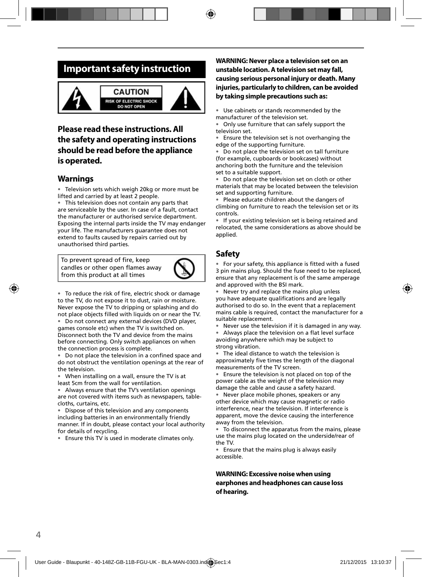### **Important safety instruction**





### **Please read these instructions. All the safety and operating instructions should be read before the appliance is operated.**

#### **Warnings**

Television sets which weigh 20kg or more must be lifted and carried by at least 2 people.

• This television does not contain any parts that are serviceable by the user. In case of a fault, contact the manufacturer or authorised service department. Exposing the internal parts inside the TV may endanger your life. The manufacturers guarantee does not extend to faults caused by repairs carried out by unauthorised third parties.

To prevent spread of fire, keep candles or other open flames away from this product at all times



• To reduce the risk of fire, electric shock or damage to the TV, do not expose it to dust, rain or moisture. Never expose the TV to dripping or splashing and do not place objects filled with liquids on or near the TV. • Do not connect any external devices (DVD player,

games console etc) when the TV is switched on. Disconnect both the TV and device from the mains before connecting. Only switch appliances on when the connection process is complete.

• Do not place the television in a confined space and do not obstruct the ventilation openings at the rear of the television.

• When installing on a wall, ensure the TV is at least 5cm from the wall for ventilation.

• Always ensure that the TV's ventilation openings are not covered with items such as newspapers, tablecloths, curtains, etc.

Dispose of this television and any components including batteries in an environmentally friendly manner. If in doubt, please contact your local authority for details of recycling.

• Ensure this TV is used in moderate climates only.

#### **WARNING: Never place a television set on an unstable location. A television set may fall, causing serious personal injury or death. Many injuries, particularly to children, can be avoided by taking simple precautions such as:**

• Use cabinets or stands recommended by the manufacturer of the television set.

• Only use furniture that can safely support the television set.

• Ensure the television set is not overhanging the edge of the supporting furniture.

• Do not place the television set on tall furniture (for example, cupboards or bookcases) without anchoring both the furniture and the television set to a suitable support.

• Do not place the television set on cloth or other materials that may be located between the television set and supporting furniture.

• Please educate children about the dangers of climbing on furniture to reach the television set or its controls.

• If your existing television set is being retained and relocated, the same considerations as above should be applied.

### **Safety**

• For your safety, this appliance is fitted with a fused 3 pin mains plug. Should the fuse need to be replaced, ensure that any replacement is of the same amperage and approved with the BSI mark.

• Never try and replace the mains plug unless you have adequate qualifications and are legally authorised to do so. In the event that a replacement mains cable is required, contact the manufacturer for a suitable replacement.

Never use the television if it is damaged in any way.

Always place the television on a flat level surface avoiding anywhere which may be subject to strong vibration.

• The ideal distance to watch the television is approximately five times the length of the diagonal measurements of the TV screen.

Ensure the television is not placed on top of the power cable as the weight of the television may damage the cable and cause a safety hazard.

• Never place mobile phones, speakers or any other device which may cause magnetic or radio interference, near the television. If interference is apparent, move the device causing the interference away from the television.

• To disconnect the apparatus from the mains, please use the mains plug located on the underside/rear of the TV.

• Ensure that the mains plug is always easily accessible.

**WARNING: Excessive noise when using earphones and headphones can cause loss of hearing.**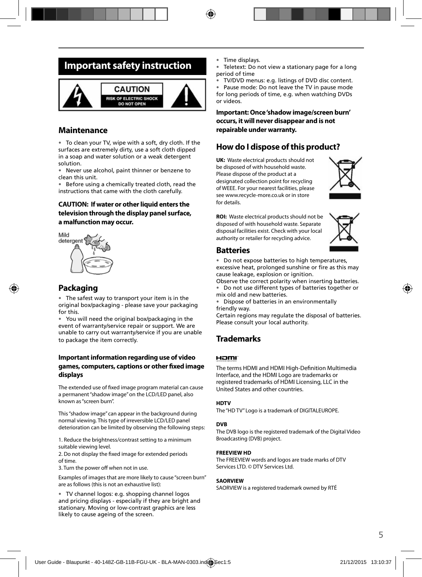## **Important safety instruction**



### **Maintenance**

• To clean your TV, wipe with a soft, dry cloth. If the surfaces are extremely dirty, use a soft cloth dipped in a soap and water solution or a weak detergent solution.

• Never use alcohol, paint thinner or benzene to clean this unit.

• Before using a chemically treated cloth, read the instructions that came with the cloth carefully.

#### **CAUTION: If water or other liquid enters the television through the display panel surface, a malfunction may occur.**



### **Packaging**

The safest way to transport your item is in the original box/packaging - please save your packaging for this.

You will need the original box/packaging in the event of warranty/service repair or support. We are unable to carry out warranty/service if you are unable to package the item correctly.

#### **Important information regarding use of video games, computers, captions or other fi xed image displays**

The extended use of fixed image program material can cause a permanent "shadow image" on the LCD/LED panel, also known as "screen burn".

This "shadow image" can appear in the background during normal viewing. This type of irreversible LCD/LED panel deterioration can be limited by observing the following steps:

1. Reduce the brightness/contrast setting to a minimum suitable viewing level.

2. Do not display the fixed image for extended periods of time.

3. Turn the power off when not in use.

Examples of images that are more likely to cause "screen burn" are as follows (this is not an exhaustive list):

• TV channel logos: e.g. shopping channel logos and pricing displays - especially if they are bright and stationary. Moving or low-contrast graphics are less likely to cause ageing of the screen.

- Time displays.
- Teletext: Do not view a stationary page for a long period of time
- TV/DVD menus: e.g. listings of DVD disc content.

Pause mode: Do not leave the TV in pause mode for long periods of time, e.g. when watching DVDs or videos.

**Important: Once 'shadow image/screen burn' occurs, it will never disappear and is not repairable under warranty.**

### **How do I dispose of this product?**

**UK:** Waste electrical products should not be disposed of with household waste. Please dispose of the product at a designated collection point for recycling of WEEE. For your nearest facilities, please see www.recycle-more.co.uk or in store for details.



**ROI:** Waste electrical products should not be disposed of with household waste. Separate disposal facilities exist. Check with your local authority or retailer for recycling advice.



#### **Batteries**

- Do not expose batteries to high temperatures,
- excessive heat, prolonged sunshine or fire as this may cause leakage, explosion or ignition.

Observe the correct polarity when inserting batteries. • Do not use different types of batteries together or mix old and new batteries.

• Dispose of batteries in an environmentally friendly way.

Certain regions may regulate the disposal of batteries. Please consult your local authority.

### **Trademarks**

#### Homr

The terms HDMI and HDMI High-Definition Multimedia Interface, and the HDMI Logo are trademarks or registered trademarks of HDMI Licensing, LLC in the United States and other countries.

#### **HDTV**

The "HD TV" Logo is a trademark of DIGITALEUROPE.

#### **DVB**

The DVB logo is the registered trademark of the Digital Video Broadcasting (DVB) project.

#### **FREEVIEW HD**

The FREEVIEW words and logos are trade marks of DTV Services LTD. © DTV Services Ltd.

#### **SAORVIEW**

SAORVIEW is a registered trademark owned by RTÉ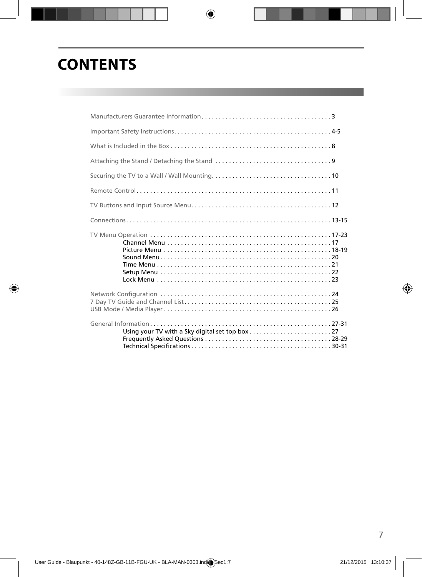# **CONTENTS**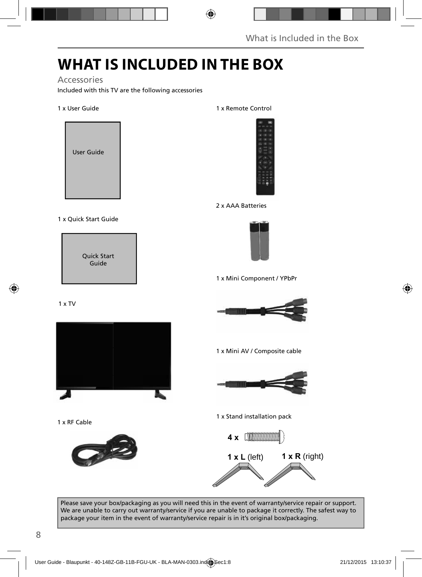## **WHAT IS INCLUDED IN THE BOX**

#### Accessories

Included with this TV are the following accessories

#### 1 x User Guide



#### 1 x Quick Start Guide

Quick Start Guide

#### 1 x TV



1 x RF Cable



#### 1 x Remote Control



#### 2 x AAA Batteries



1 x Mini Component / YPbPr



1 x Mini AV / Composite cable



1 x Stand installation pack



Please save your box/packaging as you will need this in the event of warranty/service repair or support. We are unable to carry out warranty/service if you are unable to package it correctly. The safest way to package your item in the event of warranty/service repair is in it's original box/packaging.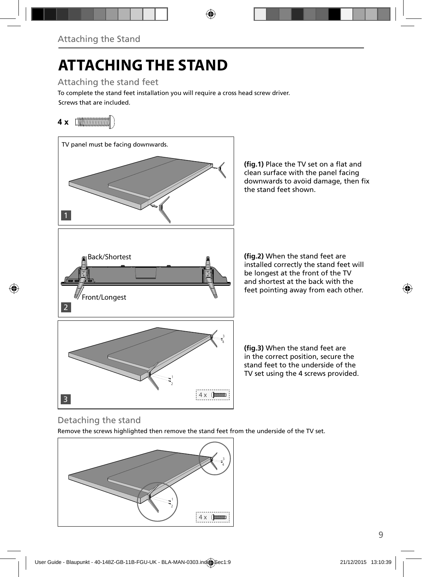# **ATTACHING THE STAND**

Attaching the stand feet

Screws that are included. To complete the stand feet installation you will require a cross head screw driver.

## **4 x**



(fig.1) Place the TV set on a flat and clean surface with the panel facing downwards to avoid damage, then fix the stand feet shown.

(fig.2) When the stand feet are installed correctly the stand feet will be longest at the front of the TV and shortest at the back with the feet pointing away from each other.

(fig.3) When the stand feet are in the correct position, secure the stand feet to the underside of the TV set using the 4 screws provided.

### Detaching the stand

Remove the screws highlighted then remove the stand feet from the underside of the TV set.

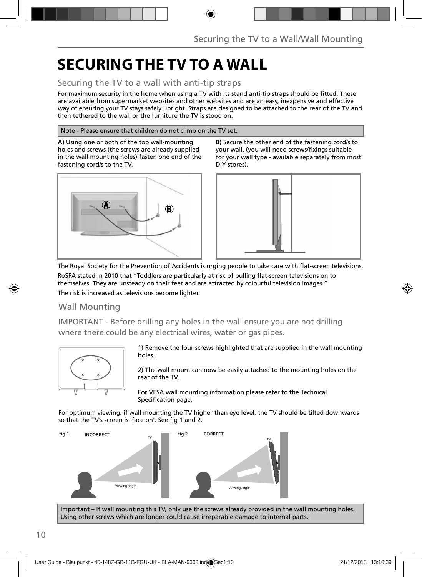## **SECURING THE TV TO A WALL**

### Securing the TV to a wall with anti-tip straps

For maximum security in the home when using a TV with its stand anti-tip straps should be fitted. These are available from supermarket websites and other websites and are an easy, inexpensive and effective way of ensuring your TV stays safely upright. Straps are designed to be attached to the rear of the TV and then tethered to the wall or the furniture the TV is stood on.

#### Note - Please ensure that children do not climb on the TV set.

**A)** Using one or both of the top wall-mounting holes and screws (the screws are already supplied in the wall mounting holes) fasten one end of the fastening cord/s to the TV.



**B)** Secure the other end of the fastening cord/s to your wall. (you will need screws/fixings suitable for your wall type - available separately from most DIY stores).



The Royal Society for the Prevention of Accidents is urging people to take care with flat-screen televisions. RoSPA stated in 2010 that "Toddlers are particularly at risk of pulling flat-screen televisions on to

themselves. They are unsteady on their feet and are attracted by colourful television images." The risk is increased as televisions become lighter.

### Wall Mounting

IMPORTANT - Before drilling any holes in the wall ensure you are not drilling where there could be any electrical wires, water or gas pipes.



1) Remove the four screws highlighted that are supplied in the wall mounting holes.

2) The wall mount can now be easily attached to the mounting holes on the rear of the TV.

For VESA wall mounting information please refer to the Technical Specification page.

For optimum viewing, if wall mounting the TV higher than eye level, the TV should be tilted downwards so that the TV's screen is 'face on'. See fig 1 and 2.



Important – If wall mounting this TV, only use the screws already provided in the wall mounting holes. Using other screws which are longer could cause irreparable damage to internal parts.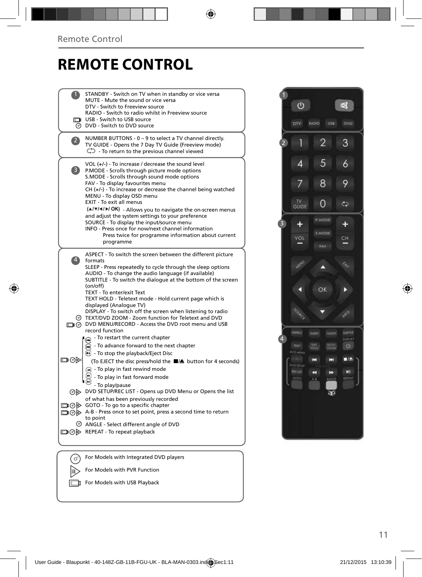## **REMOTE CONTROL**

|                | STANDBY - Switch on TV when in standby or vice versa<br>MUTE - Mute the sound or vice versa                                                                                                                                                                                                                                                                                     |  |
|----------------|---------------------------------------------------------------------------------------------------------------------------------------------------------------------------------------------------------------------------------------------------------------------------------------------------------------------------------------------------------------------------------|--|
|                | DTV - Switch to Freeview source<br>RADIO - Switch to radio whilst in Freeview source                                                                                                                                                                                                                                                                                            |  |
|                | USB - Switch to USB source                                                                                                                                                                                                                                                                                                                                                      |  |
|                | <b>O</b> DVD - Switch to DVD source                                                                                                                                                                                                                                                                                                                                             |  |
| $\mathbf{Z}$   | NUMBER BUTTONS - 0 - 9 to select a TV channel directly.<br>TV GUIDE - Opens the 7 Day TV Guide (Freeview mode)<br>$\mathbb{C}$ - To return to the previous channel viewed                                                                                                                                                                                                       |  |
| 3              | VOL (+/-) - To increase / decrease the sound level<br>P.MODE - Scrolls through picture mode options<br>S.MODE - Scrolls through sound mode options<br>FAV - To display favourites menu<br>$CH (+/-)$ - To increase or decrease the channel being watched<br>MENU - To display OSD menu<br>EXIT - To exit all menus<br>(A/V/4/M/OK) - Allows you to navigate the on-screen menus |  |
|                | and adjust the system settings to your preference                                                                                                                                                                                                                                                                                                                               |  |
|                | SOURCE - To display the input/source menu<br>INFO - Press once for now/next channel information                                                                                                                                                                                                                                                                                 |  |
|                | Press twice for programme information about current<br>programme                                                                                                                                                                                                                                                                                                                |  |
| $\overline{4}$ | ASPECT - To switch the screen between the different picture<br>formats<br>SLEEP - Press repeatedly to cycle through the sleep options<br>AUDIO - To change the audio language (if available)<br>SUBTITLE - To switch the dialoque at the bottom of the screen<br>(on/off)                                                                                                       |  |
|                | TEXT - To enter/exit Text<br>TEXT HOLD - Teletext mode - Hold current page which is<br>displayed (Analogue TV)<br>DISPLAY - To switch off the screen when listening to radio<br>TEXT/DVD ZOOM - Zoom function for Teletext and DVD                                                                                                                                              |  |
|                | DVD MENU/RECORD - Access the DVD root menu and USB<br>record function                                                                                                                                                                                                                                                                                                           |  |
|                | - To restart the current chapter                                                                                                                                                                                                                                                                                                                                                |  |
|                | To advance forward to the next chapter                                                                                                                                                                                                                                                                                                                                          |  |
|                | $\odot$ - To stop the playback/Eject Disc                                                                                                                                                                                                                                                                                                                                       |  |
| య⊚⊡            | (To EJECT the disc press/hold the ■▲ button for 4 seconds)                                                                                                                                                                                                                                                                                                                      |  |
|                | (a) - To play in fast rewind mode<br>- To play in fast forward mode                                                                                                                                                                                                                                                                                                             |  |
|                | - To play/pause                                                                                                                                                                                                                                                                                                                                                                 |  |
|                | OD DVD SETUP/REC LIST - Opens up DVD Menu or Opens the list                                                                                                                                                                                                                                                                                                                     |  |
|                | of what has been previously recorded<br>□ ⊙ ⊙ GOTO - To go to a specific chapter                                                                                                                                                                                                                                                                                                |  |
|                | □ ⊙ D A-B - Press once to set point, press a second time to return<br>to point                                                                                                                                                                                                                                                                                                  |  |
|                | ANGLE - Select different angle of DVD                                                                                                                                                                                                                                                                                                                                           |  |
|                | □ ⊙ > REPEAT - To repeat playback                                                                                                                                                                                                                                                                                                                                               |  |
|                |                                                                                                                                                                                                                                                                                                                                                                                 |  |
|                | For Models with Integrated DVD players                                                                                                                                                                                                                                                                                                                                          |  |
| ' ഗി           |                                                                                                                                                                                                                                                                                                                                                                                 |  |



For Models with PVR Function  $\Rightarrow$ 

For Models with USB Playback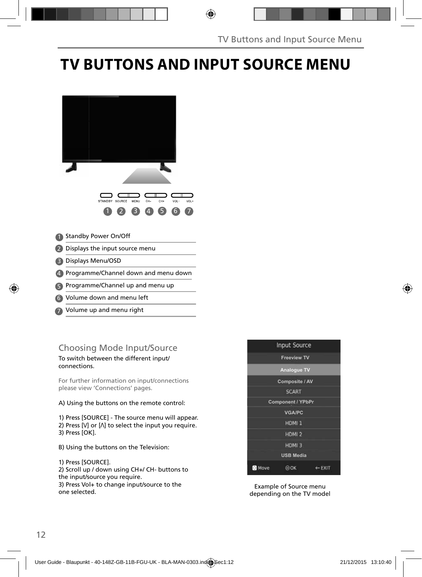## **TV BUTTONS AND INPUT SOURCE MENU**



- Volume down and menu left 6
- Volume up and menu right 7

### Choosing Mode Input/Source

To switch between the different input/ connections.

For further information on input/connections please view 'Connections' pages.

#### A) Using the buttons on the remote control:

1) Press [SOURCE] - The source menu will appear. 2) Press  $[V]$  or  $[\Lambda]$  to select the input you require. 3) Press [OK].

- B) Using the buttons on the Television:
- 1) Press [SOURCE]. 2) Scroll up / down using CH+/ CH- buttons to the input/source you require. 3) Press Vol+ to change input/source to the one selected.



Example of Source menu depending on the TV model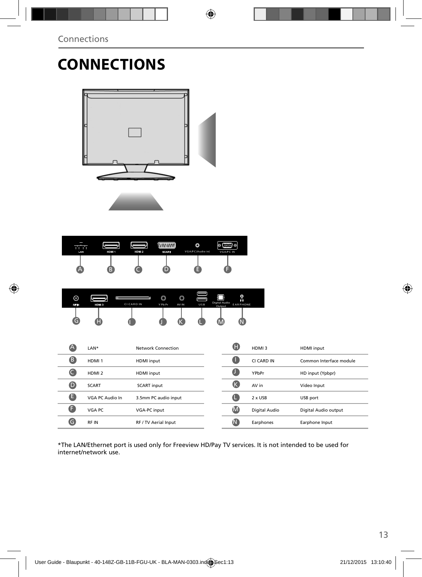# **CONNECTIONS**



| LAN | HDM 1 | HDM <sub>2</sub> | <b>WARRANTI</b><br><b>SCART</b> | ٥<br>VGA/PC(Audio in) | <b>Kitti</b><br>l ©<br>Ю<br><b>VGA/PC IN</b> |
|-----|-------|------------------|---------------------------------|-----------------------|----------------------------------------------|
| А   | B,    |                  |                                 |                       |                                              |

| ര<br>RF IN | HDM 3 | lm<br><b>CI CARD IN</b> | O<br>Y Pb Pr | O<br><b>AVIN</b> | USB | Digital Audio<br>Output | O<br>ค<br><b>EARPHONE</b> |
|------------|-------|-------------------------|--------------|------------------|-----|-------------------------|---------------------------|
| c          | -     |                         |              |                  |     |                         |                           |

| $\blacktriangle$ | LAN*              | Network Connection   | G           | HDMI3         | HDMI input              |
|------------------|-------------------|----------------------|-------------|---------------|-------------------------|
| B                | HDMI <sub>1</sub> | HDMI input           | a           | CI CARD IN    | Common Interface module |
|                  | HDMI <sub>2</sub> | HDMI input           | C           | YPbPr         | HD input (Ypbpr)        |
| D                | <b>SCART</b>      | <b>SCART</b> input   | K           | AV in         | Video Input             |
| ê                | VGA PC Audio In   | 3.5mm PC audio input | Œ           | 2 x USB       | USB port                |
| G                | VGA PC            | VGA-PC input         | M           | Digital Audio | Digital Audio output    |
| G                | <b>RFIN</b>       | RF / TV Aerial Input | $\mathsf N$ | Earphones     | Earphone Input          |

\*The LAN/Ethernet port is used only for Freeview HD/Pay TV services. It is not intended to be used for internet/network use.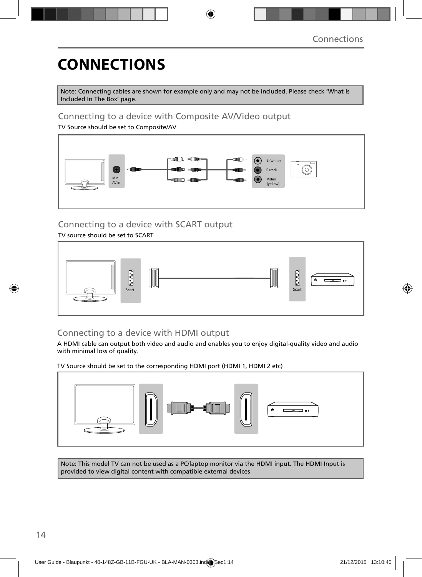# **CONNECTIONS**

Note: Connecting cables are shown for example only and may not be included. Please check 'What Is Included In The Box' page.

### Connecting to a device with Composite AV/Video output

TV Source should be set to Composite/AV



### Connecting to a device with SCART output

TV source should be set to SCART



### Connecting to a device with HDMI output

A HDMI cable can output both video and audio and enables you to enjoy digital-quality video and audio with minimal loss of quality.

TV Source should be set to the corresponding HDMI port (HDMI 1, HDMI 2 etc)



Note: This model TV can not be used as a PC/laptop monitor via the HDMI input. The HDMI Input is provided to view digital content with compatible external devices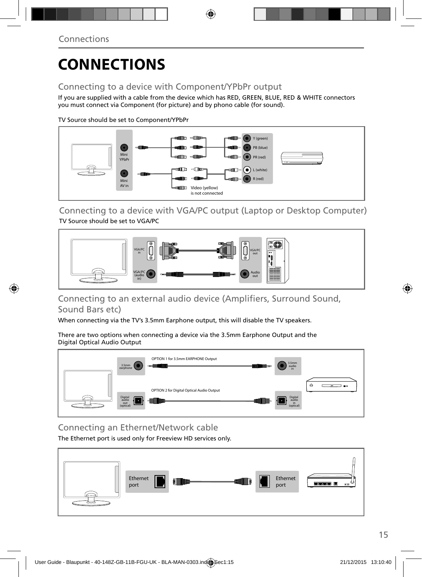# **CONNECTIONS**

### Connecting to a device with Component/YPbPr output

If you are supplied with a cable from the device which has RED, GREEN, BLUE, RED & WHITE connectors you must connect via Component (for picture) and by phono cable (for sound).

TV Source should be set to Component/YPbPr



Connecting to a device with VGA/PC output (Laptop or Desktop Computer) TV Source should be set to VGA/PC



### Connecting to an external audio device (Amplifiers, Surround Sound, Sound Bars etc)

When connecting via the TV's 3.5mm Earphone output, this will disable the TV speakers.

There are two options when connecting a device via the 3.5mm Earphone Output and the Digital Optical Audio Output



Connecting an Ethernet/Network cable

The Ethernet port is used only for Freeview HD services only.

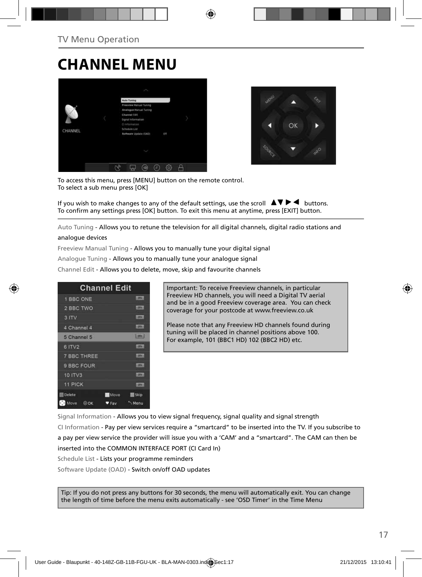## **CHANNEL MENU**





To access this menu, press [MENU] button on the remote control. To select a sub menu press [OK]

If you wish to make changes to any of the default settings, use the scroll  $\Delta \nabla \blacktriangleright$   $\blacktriangleleft$  buttons. To confirm any settings press [OK] button. To exit this menu at anytime, press [EXIT] button.

Auto Tuning - Allows you to retune the television for all digital channels, digital radio stations and

#### analogue devices

Freeview Manual Tuning - Allows you to manually tune your digital signal

Analogue Tuning - Allows you to manually tune your analogue signal

Channel Edit - Allows you to delete, move, skip and favourite channels

| <b>Channel Edit</b> |             |                |
|---------------------|-------------|----------------|
| 1 BBC ONE           |             | <b>LIBRARY</b> |
| 2 BBC TWO           |             |                |
| 3 ITV               |             | 1,0741         |
| 4 Channel 4         |             | <b>LOTAL</b>   |
| 5 Channel 5         |             | 2000           |
| 6 ITV2              |             | 10000          |
| <b>7 BBC THREE</b>  |             | <b>LOTH</b>    |
| 9 BBC FOUR          |             | <b>DV</b>      |
| 10 ITV3             |             | <b>CONTI</b>   |
| 11 PICK             |             | <b>LOTAL</b>   |
| <b>Delete</b>       | <b>Move</b> | <b>Skip</b>    |
| Move<br>00K         | Fay         | Menu           |

Important: To receive Freeview channels, in particular Freeview HD channels, you will need a Digital TV aerial and be in a good Freeview coverage area. You can check coverage for your postcode at www.freeview.co.uk

Please note that any Freeview HD channels found during tuning will be placed in channel positions above 100. For example, 101 (BBC1 HD) 102 (BBC2 HD) etc.

Signal Information - Allows you to view signal frequency, signal quality and signal strength CI Information - Pay per view services require a "smartcard" to be inserted into the TV. If you subscribe to a pay per view service the provider will issue you with a 'CAM' and a "smartcard". The CAM can then be inserted into the COMMON INTERFACE PORT (CI Card In)

Schedule List - Lists your programme reminders

Software Update (OAD) - Switch on/off OAD updates

Tip: If you do not press any buttons for 30 seconds, the menu will automatically exit. You can change the length of time before the menu exits automatically - see 'OSD Timer' in the Time Menu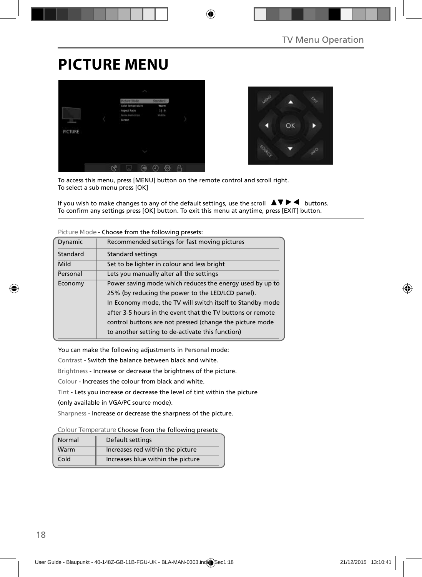## **PICTURE MENU**





To access this menu, press [MENU] button on the remote control and scroll right. To select a sub menu press [OK]

If you wish to make changes to any of the default settings, use the scroll  $\Box \blacktriangledown \blacktriangleright \blacktriangleleft$  buttons. To confirm any settings press [OK] button. To exit this menu at anytime, press [EXIT] button.

| Dynamic                                                             | Recommended settings for fast moving pictures              |
|---------------------------------------------------------------------|------------------------------------------------------------|
| Standard                                                            | <b>Standard settings</b>                                   |
| Mild                                                                | Set to be lighter in colour and less bright                |
| Personal                                                            | Lets you manually alter all the settings                   |
| Power saving mode which reduces the energy used by up to<br>Economy |                                                            |
|                                                                     | 25% (by reducing the power to the LED/LCD panel).          |
|                                                                     | In Economy mode, the TV will switch itself to Standby mode |
|                                                                     | after 3-5 hours in the event that the TV buttons or remote |
|                                                                     | control buttons are not pressed (change the picture mode   |
|                                                                     | to another setting to de-activate this function)           |

**Picture Mode** - Choose from the following presets:

You can make the following adjustments in **Personal** mode:

Contrast - Switch the balance between black and white.

Brightness - Increase or decrease the brightness of the picture.

Colour - Increases the colour from black and white.

Tint - Lets you increase or decrease the level of tint within the picture

(only available in VGA/PC source mode).

Sharpness - Increase or decrease the sharpness of the picture.

**Colour Temperature** Choose from the following presets:

| Normal | Default settings                  |
|--------|-----------------------------------|
| Warm   | Increases red within the picture  |
| Cold   | Increases blue within the picture |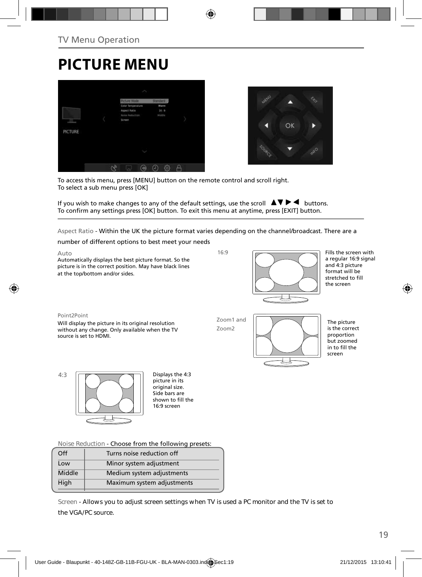# **PICTURE MENU**





To access this menu, press [MENU] button on the remote control and scroll right. To select a sub menu press [OK]

If you wish to make changes to any of the default settings, use the scroll  $\blacktriangle \blacktriangledown \blacktriangleright \blacktriangleleft$  buttons. To confirm any settings press [OK] button. To exit this menu at anytime, press [EXIT] button.

Aspect Ratio - Within the UK the picture format varies depending on the channel/broadcast. There are a

number of different options to best meet your needs

Auto Automatically displays the best picture format. So the picture is in the correct position. May have black lines at the top/bottom and/or sides.

16:9



Fills the screen with a regular 16:9 signal and 4:3 picture format will be stretched to fill the screen

#### Point2Point

Will display the picture in its original resolution without any change. Only available when the TV source is set to HDMI.

Zoom1 and Zoom2



The picture is the correct proportion but zoomed in to fill the screen



picture in its original size. Side bars are shown to fill the 16:9 screen

**Noise Reduction** - Choose from the following presets:

| Off    | Turns noise reduction off  |  |
|--------|----------------------------|--|
| Low    | Minor system adjustment    |  |
| Middle | Medium system adjustments  |  |
| High   | Maximum system adjustments |  |
|        |                            |  |

**Screen - Allows you to adjust screen settings when TV is used a PC monitor and the TV is set to the VGA/PC source.**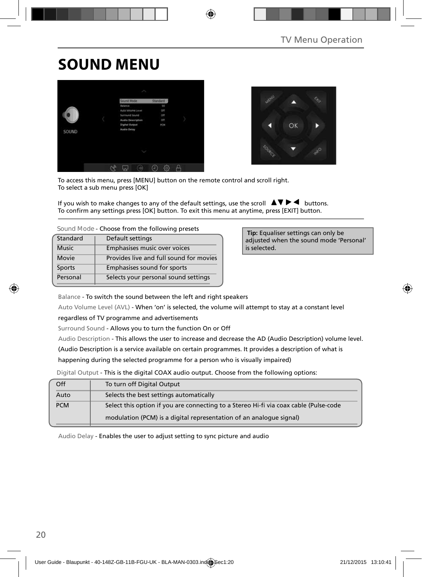## **SOUND MENU**





To access this menu, press [MENU] button on the remote control and scroll right. To select a sub menu press [OK]

If you wish to make changes to any of the default settings, use the scroll  $\blacktriangle \blacktriangledown \blacktriangleright \blacktriangleleft$  buttons. To confirm any settings press [OK] button. To exit this menu at anytime, press [EXIT] button.

| Standard      | Default settings                        |
|---------------|-----------------------------------------|
| <b>Music</b>  | Emphasises music over voices            |
| Movie         | Provides live and full sound for movies |
| <b>Sports</b> | Emphasises sound for sports             |
| Personal      | Selects your personal sound settings    |

 **Tip:** Equaliser settings can only be adjusted when the sound mode 'Personal' is selected.

Balance - To switch the sound between the left and right speakers

Auto Volume Level (AVL) - When 'on' is selected, the volume will attempt to stay at a constant level

regardless of TV programme and advertisements

Surround Sound - Allows you to turn the function On or Off

Audio Description - This allows the user to increase and decrease the AD (Audio Description) volume level.

(Audio Description is a service available on certain programmes. It provides a description of what is

happening during the selected programme for a person who is visually impaired)

Digital Output - This is the digital COAX audio output. Choose from the following options:

| Off        | To turn off Digital Output                                                            |
|------------|---------------------------------------------------------------------------------------|
| Auto       | Selects the best settings automatically                                               |
| <b>PCM</b> | Select this option if you are connecting to a Stereo Hi-fi via coax cable (Pulse-code |
|            | modulation (PCM) is a digital representation of an analogue signal)                   |

Audio Delay - Enables the user to adjust setting to sync picture and audio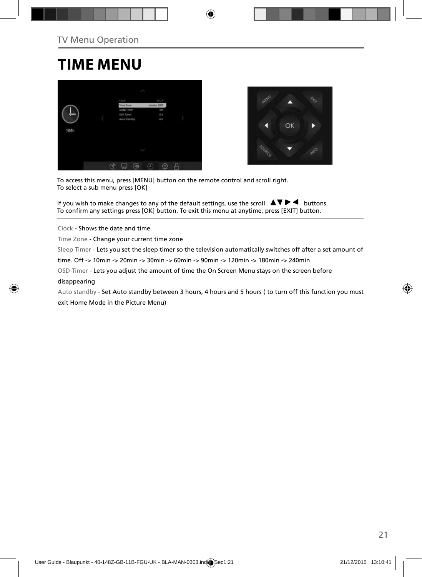## **TIME MENU**





To access this menu, press [MENU] button on the remote control and scroll right. To select a sub menu press [OK]

If you wish to make changes to any of the default settings, use the scroll  $\Box \blacktriangledown \blacktriangleright \blacktriangleleft$  buttons. To confirm any settings press [OK] button. To exit this menu at anytime, press [EXIT] button.

Clock - Shows the date and time

Time Zone - Change your current time zone

Sleep Timer - Lets you set the sleep timer so the television automatically switches off after a set amount of

time. Off -> 10min -> 20min -> 30min -> 60min -> 90min -> 120min -> 180min -> 240min

OSD Timer - Lets you adjust the amount of time the On Screen Menu stays on the screen before

#### disappearing

Auto standby - Set Auto standby between 3 hours, 4 hours and 5 hours ( to turn off this function you must exit Home Mode in the Picture Menu)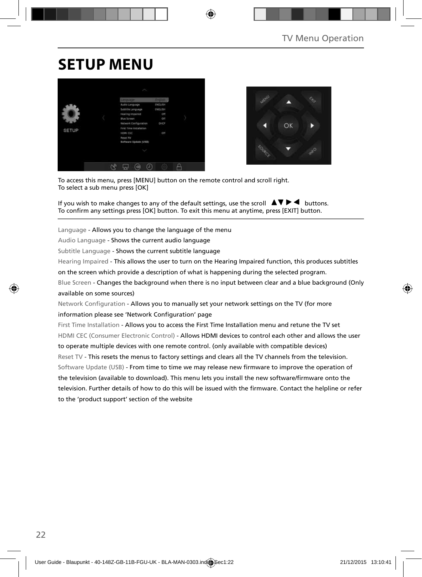## **SETUP MENU**





To access this menu, press [MENU] button on the remote control and scroll right. To select a sub menu press [OK]

If you wish to make changes to any of the default settings, use the scroll  $\Box \Box \blacktriangleright \blacktriangleleft$  buttons. To confirm any settings press [OK] button. To exit this menu at anytime, press [EXIT] button.

Language - Allows you to change the language of the menu

Audio Language - Shows the current audio language

Subtitle Language - Shows the current subtitle language

Hearing Impaired - This allows the user to turn on the Hearing Impaired function, this produces subtitles

on the screen which provide a description of what is happening during the selected program.

Blue Screen - Changes the background when there is no input between clear and a blue background (Only available on some sources)

Network Configuration - Allows you to manually set your network settings on the TV (for more information please see 'Network Configuration' page

First Time Installation - Allows you to access the First Time Installation menu and retune the TV set HDMI CEC (Consumer Electronic Control) - Allows HDMI devices to control each other and allows the user to operate multiple devices with one remote control. (only available with compatible devices) Reset TV - This resets the menus to factory settings and clears all the TV channels from the television. Software Update (USB) - From time to time we may release new firmware to improve the operation of the television (available to download). This menu lets you install the new software/firmware onto the television. Further details of how to do this will be issued with the firmware. Contact the helpline or refer to the 'product support' section of the website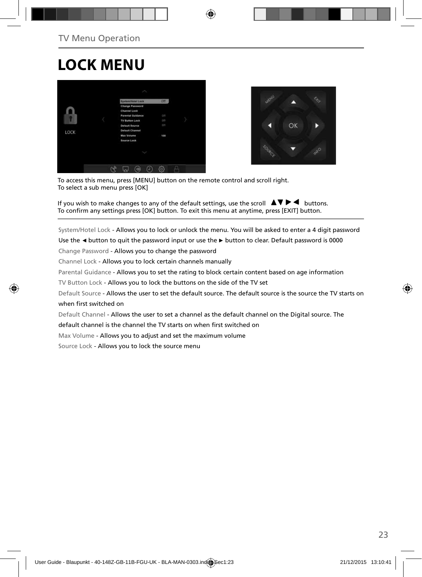## **LOCK MENU**





To access this menu, press [MENU] button on the remote control and scroll right. To select a sub menu press [OK]

If you wish to make changes to any of the default settings, use the scroll  $\Box \blacktriangledown \blacktriangleright \blacktriangleleft$  buttons. To confirm any settings press [OK] button. To exit this menu at anytime, press [EXIT] button.

System/Hotel Lock - Allows you to lock or unlock the menu. You will be asked to enter a 4 digit password

Use the **◄** button to quit the password input or use the **►** button to clear. Default password is 0000

Change Password - Allows you to change the password

Channel Lock - Allows you to lock certain channels manually

Parental Guidance - Allows you to set the rating to block certain content based on age information

TV Button Lock - Allows you to lock the buttons on the side of the TV set

Default Source - Allows the user to set the default source. The default source is the source the TV starts on when first switched on

Default Channel - Allows the user to set a channel as the default channel on the Digital source. The

default channel is the channel the TV starts on when first switched on

Max Volume - Allows you to adjust and set the maximum volume

Source Lock - Allows you to lock the source menu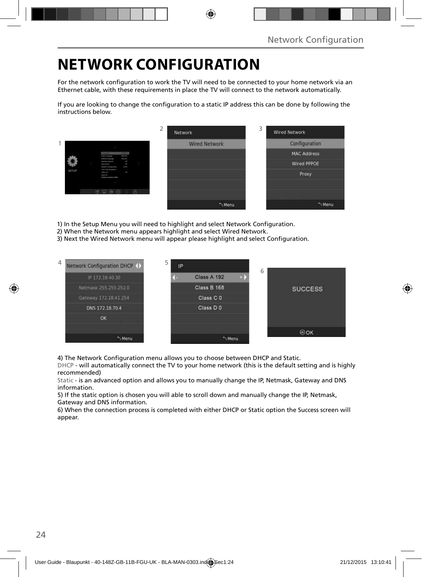## **NETWORK CONFIGURATION**

For the network configuration to work the TV will need to be connected to your home network via an Ethernet cable, with these requirements in place the TV will connect to the network automatically.

If you are looking to change the configuration to a static IP address this can be done by following the instructions below.

|       |                                                                                                                                                                                                | ∠ | Network              | 3 | <b>Wired Network</b> |
|-------|------------------------------------------------------------------------------------------------------------------------------------------------------------------------------------------------|---|----------------------|---|----------------------|
|       |                                                                                                                                                                                                |   | <b>Wired Network</b> |   | Configuration        |
|       | <b>COLOR</b><br><b><i><u>Andre Component</u></i></b><br><b>Security</b>                                                                                                                        |   |                      |   | <b>MAC Address</b>   |
|       | <b>Letteria</b> Language<br><b>Heating Program</b><br>×<br><b>But formed</b><br>m.<br>mar.<br><b>Several Listapolism</b>                                                                       |   |                      |   | <b>Wired PPPOE</b>   |
| SETUP | ling Strainwaren<br>ł<br>$\frac{1}{2} \left( \frac{1}{2} \right) \left( \frac{1}{2} \right) \left( \frac{1}{2} \right) \left( \frac{1}{2} \right)$<br><b>Senat Die</b><br>Sollared Learn (218) |   |                      |   | Proxy                |
|       |                                                                                                                                                                                                |   |                      |   |                      |
|       | 0000                                                                                                                                                                                           |   |                      |   |                      |
|       |                                                                                                                                                                                                |   | Menu                 |   | "Menu                |

1) In the Setup Menu you will need to highlight and select Network Configuration.

- 2) When the Network menu appears highlight and select Wired Network.
- 3) Next the Wired Network menu will appear please highlight and select Configuration.



4) The Network Configuration menu allows you to choose between DHCP and Static.

DHCP - will automatically connect the TV to your home network (this is the default setting and is highly recommended)

Static - is an advanced option and allows you to manually change the IP, Netmask, Gateway and DNS information.

5) If the static option is chosen you will able to scroll down and manually change the IP, Netmask, Gateway and DNS information.

6) When the connection process is completed with either DHCP or Static option the Success screen will appear.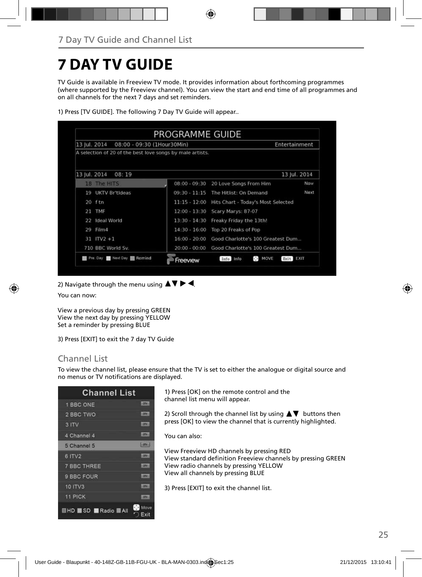## **7 DAY TV GUIDE**

TV Guide is available in Freeview TV mode. It provides information about forthcoming programmes (where supported by the Freeview channel). You can view the start and end time of all programmes and on all channels for the next 7 days and set reminders.

| 13 Iul. 2014<br>08:00 - 09:30 (1Hour30Min)                |                 | Entertainment                                  |              |
|-----------------------------------------------------------|-----------------|------------------------------------------------|--------------|
| A selection of 20 of the best love songs by male artists. |                 |                                                |              |
| 13 Jul. 2014<br>08:19                                     |                 |                                                | 13 Jul. 2014 |
| 18 The HITS                                               | $08:00 - 09:30$ | 20 Love Songs From Him                         | <b>Now</b>   |
| UKTV Britideas<br>19                                      | $09:30 - 11:15$ | The Hitlist: On Demand                         | Next         |
| 20 ftn                                                    | $11:15 - 12:00$ | Hits Chart - Today's Most Selected             |              |
| TMF<br>21                                                 | $12:00 - 13:30$ | Scary Marys: 87-07                             |              |
| Ideal World<br>22                                         | $13:30 - 14:30$ | Freaky Friday the 13th!                        |              |
| Film4<br>29                                               | $14:30 - 16:00$ | Top 20 Freaks of Pop                           |              |
| $31$ ITV2 +1                                              | $16:00 - 20:00$ | Good Charlotte's 100 Greatest Dum              |              |
| 710 BBC World Sv.                                         | $20:00 - 00:00$ | Good Charlotte's 100 Greatest Dum              |              |
| Pre. Day Next Day <b>1 Remind</b>                         | Freeview        | $\mathcal{C} \rightarrow$<br>MOVE<br>Info Info | Exit EXII    |

1) Press [TV GUIDE]. The following 7 Day TV Guide will appear..

2) Navigate through the menu using  $\blacktriangle \blacktriangledown \blacktriangleright \blacktriangleleft$ .

You can now:

View a previous day by pressing GREEN View the next day by pressing YELLOW Set a reminder by pressing BLUE

3) Press [EXIT] to exit the 7 day TV Guide

### Channel List

To view the channel list, please ensure that the TV is set to either the analogue or digital source and no menus or TV notifications are displayed.

| <b>Channel List</b>           |                    |
|-------------------------------|--------------------|
| 1 BBC ONE                     | <b>LODGE</b>       |
| 2 BBC TWO                     | <b>LOTS</b>        |
| 3 ITV                         | <b>LOTAL</b>       |
| 4 Channel 4                   | 10N                |
| 5 Channel 5                   | <b>Hanks</b>       |
| 6 ITV2                        | <b>ISTAN</b>       |
| <b>7 BBC THREE</b>            | <b>CENT</b>        |
| 9 BBC FOUR                    | ⊶                  |
| <b>10 ITV3</b>                | m                  |
| 11 PICK                       | m                  |
| <b>HD</b> SD <b>Radio</b> All | O.<br>Move<br>Exit |

1) Press [OK] on the remote control and the channel list menu will appear.

2) Scroll through the channel list by using  $\blacktriangle \blacktriangledown$  buttons then press [OK] to view the channel that is currently highlighted.

You can also:

View Freeview HD channels by pressing RED View standard definition Freeview channels by pressing GREEN View radio channels by pressing YELLOW View all channels by pressing BLUE

3) Press [EXIT] to exit the channel list.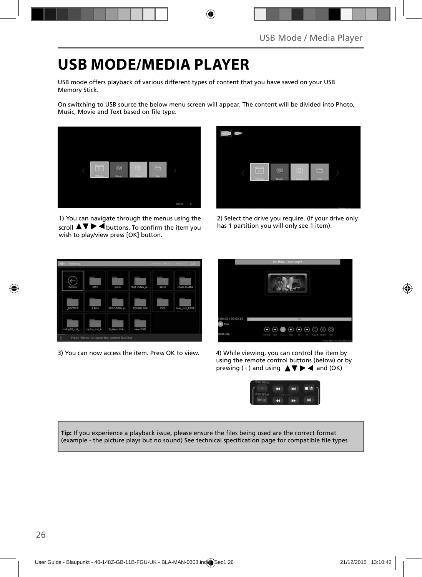## **USB MODE/MEDIA PLAYER**

USB mode offers playback of various different types of content that you have saved on your USB Memory Stick.

On switching to USB source the below menu screen will appear. The content will be divided into Photo, Music, Movie and Text based on file type.



1) You can navigate through the menus using the scroll  $\blacktriangle \blacktriangledown \blacktriangleright \blacktriangleleft$  buttons. To confirm the item you wish to play/view press [OK] button.



2) Select the drive you require. (If your drive only has 1 partition you will only see 1 item).



3) You can now access the item. Press OK to view. 4) While viewing, you can control the item by



using the remote control buttons (below) or by pressing ( i ) and using  $\triangle \blacktriangledown \blacktriangleright \blacktriangleleft$  and (OK)



Tip: If you experience a playback issue, please ensure the files being used are the correct format (example - the picture plays but no sound) See technical specification page for compatible file types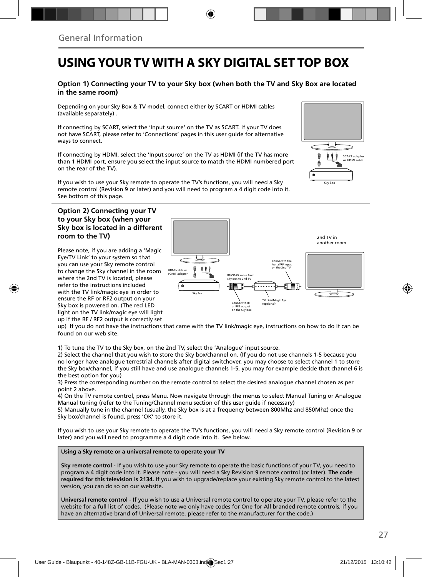## **USING YOUR TV WITH A SKY DIGITAL SET TOP BOX**

#### **Option 1) Connecting your TV to your Sky box (when both the TV and Sky Box are located in the same room)**

Depending on your Sky Box & TV model, connect either by SCART or HDMI cables (available separately) .

If connecting by SCART, select the 'Input source' on the TV as SCART. If your TV does not have SCART, please refer to 'Connections' pages in this user guide for alternative ways to connect.

If connecting by HDMI, select the 'Input source' on the TV as HDMI (if the TV has more than 1 HDMI port, ensure you select the input source to match the HDMI numbered port on the rear of the TV).

If you wish to use your Sky remote to operate the TV's functions, you will need a Sky remote control (Revision 9 or later) and you will need to program a 4 digit code into it. See bottom of this page.

#### **Option 2) Connecting your TV to your Sky box (when your Sky box is located in a different room to the TV)**

Please note, if you are adding a 'Magic Eye/TV Link' to your system so that you can use your Sky remote control to change the Sky channel in the room where the 2nd TV is located, please refer to the instructions included with the TV link/magic eye in order to ensure the RF or RF2 output on your Sky box is powered on. (The red LED light on the TV link/magic eye will light up if the RF / RF2 output is correctly set



up) If you do not have the instructions that came with the TV link/magic eye, instructions on how to do it can be found on our web site.

1) To tune the TV to the Sky box, on the 2nd TV, select the 'Analogue' input source.

2) Select the channel that you wish to store the Sky box/channel on. (If you do not use channels 1-5 because you no longer have analogue terrestrial channels after digital switchover, you may choose to select channel 1 to store the Sky box/channel, if you still have and use analogue channels 1-5, you may for example decide that channel 6 is the best option for you)

3) Press the corresponding number on the remote control to select the desired analogue channel chosen as per point 2 above.

4) On the TV remote control, press Menu. Now navigate through the menus to select Manual Tuning or Analogue Manual tuning (refer to the Tuning/Channel menu section of this user guide if necessary)

5) Manually tune in the channel (usually, the Sky box is at a frequency between 800Mhz and 850Mhz) once the Sky box/channel is found, press 'OK' to store it.

If you wish to use your Sky remote to operate the TV's functions, you will need a Sky remote control (Revision 9 or later) and you will need to programme a 4 digit code into it. See below.

**Using a Sky remote or a universal remote to operate your TV** 

**Sky remote control** - If you wish to use your Sky remote to operate the basic functions of your TV, you need to program a 4 digit code into it. Please note - you will need a Sky Revision 9 remote control (or later). **The code required for this television is 2134.** If you wish to upgrade/replace your existing Sky remote control to the latest version, you can do so on our website.

**Universal remote control** - If you wish to use a Universal remote control to operate your TV, please refer to the website for a full list of codes. (Please note we only have codes for One for All branded remote controls, if you have an alternative brand of Universal remote, please refer to the manufacturer for the code.)

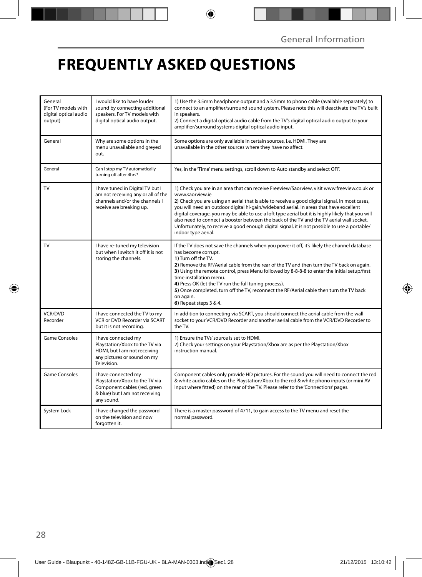## **FREQUENTLY ASKED QUESTIONS**

| General<br>(For TV models with<br>digital optical audio<br>output) | I would like to have louder<br>sound by connecting additional<br>speakers. For TV models with<br>digital optical audio output.        | 1) Use the 3.5mm headphone output and a 3.5mm to phono cable (available separately) to<br>connect to an amplifier/surround sound system. Please note this will deactivate the TV's built<br>in speakers.<br>2) Connect a digital optical audio cable from the TV's digital optical audio output to your<br>amplifier/surround systems digital optical audio input.                                                                                                                                                                                                                                                                  |
|--------------------------------------------------------------------|---------------------------------------------------------------------------------------------------------------------------------------|-------------------------------------------------------------------------------------------------------------------------------------------------------------------------------------------------------------------------------------------------------------------------------------------------------------------------------------------------------------------------------------------------------------------------------------------------------------------------------------------------------------------------------------------------------------------------------------------------------------------------------------|
| General                                                            | Why are some options in the<br>menu unavailable and greyed<br>out.                                                                    | Some options are only available in certain sources, i.e. HDMI. They are<br>unavailable in the other sources where they have no affect.                                                                                                                                                                                                                                                                                                                                                                                                                                                                                              |
| General                                                            | Can I stop my TV automatically<br>turning off after 4hrs?                                                                             | Yes, in the 'Time' menu settings, scroll down to Auto standby and select OFF.                                                                                                                                                                                                                                                                                                                                                                                                                                                                                                                                                       |
| TV                                                                 | I have tuned in Digital TV but I<br>am not receiving any or all of the<br>channels and/or the channels I<br>receive are breaking up.  | 1) Check you are in an area that can receive Freeview/Saorview, visit www.freeview.co.uk or<br>www.saorview.ie<br>2) Check you are using an aerial that is able to receive a good digital signal. In most cases,<br>you will need an outdoor digital hi-gain/wideband aerial. In areas that have excellent<br>digital coverage, you may be able to use a loft type aerial but it is highly likely that you will<br>also need to connect a booster between the back of the TV and the TV aerial wall socket.<br>Unfortunately, to receive a good enough digital signal, it is not possible to use a portable/<br>indoor type aerial. |
| <b>TV</b>                                                          | I have re-tuned my television<br>but when I switch it off it is not<br>storing the channels.                                          | If the TV does not save the channels when you power it off, it's likely the channel database<br>has become corrupt.<br>1) Turn off the TV.<br>2) Remove the RF/Aerial cable from the rear of the TV and then turn the TV back on again.<br>3) Using the remote control, press Menu followed by 8-8-8-8 to enter the initial setup/first<br>time installation menu.<br>4) Press OK (let the TV run the full tuning process).<br>5) Once completed, turn off the TV, reconnect the RF/Aerial cable then turn the TV back<br>on again.<br>6) Repeat steps 3 & 4.                                                                       |
| <b>VCR/DVD</b><br>Recorder                                         | I have connected the TV to my<br>VCR or DVD Recorder via SCART<br>but it is not recording.                                            | In addition to connecting via SCART, you should connect the aerial cable from the wall<br>socket to your VCR/DVD Recorder and another aerial cable from the VCR/DVD Recorder to<br>the TV.                                                                                                                                                                                                                                                                                                                                                                                                                                          |
| Game Consoles                                                      | I have connected my<br>Playstation/Xbox to the TV via<br>HDMI, but I am not receiving<br>any pictures or sound on my<br>Television.   | 1) Ensure the TVs' source is set to HDMI.<br>2) Check your settings on your Playstation/Xbox are as per the Playstation/Xbox<br>instruction manual.                                                                                                                                                                                                                                                                                                                                                                                                                                                                                 |
| <b>Game Consoles</b>                                               | I have connected my<br>Playstation/Xbox to the TV via<br>Component cables (red, green<br>& blue) but I am not receiving<br>any sound. | Component cables only provide HD pictures. For the sound you will need to connect the red<br>& white audio cables on the Playstation/Xbox to the red & white phono inputs (or mini AV<br>input where fitted) on the rear of the TV. Please refer to the 'Connections' pages.                                                                                                                                                                                                                                                                                                                                                        |
| System Lock                                                        | I have changed the password<br>on the television and now<br>forgotten it.                                                             | There is a master password of 4711, to gain access to the TV menu and reset the<br>normal password.                                                                                                                                                                                                                                                                                                                                                                                                                                                                                                                                 |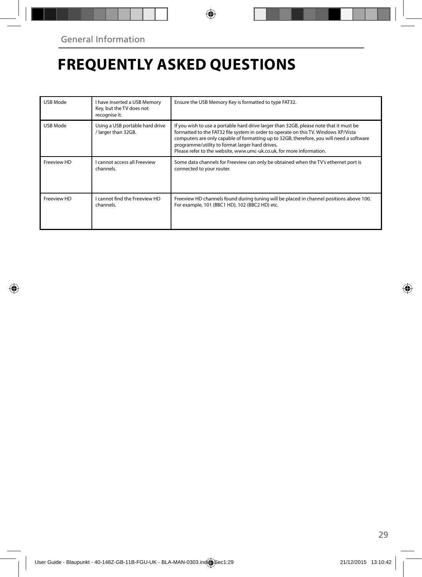## **FREQUENTLY ASKED QUESTIONS**

| USB Mode    | I have inserted a USB Memory<br>Key, but the TV does not<br>recognise it. | Ensure the USB Memory Key is formatted to type FAT32.                                                                                                                                                                                                                                                                                                                                                |
|-------------|---------------------------------------------------------------------------|------------------------------------------------------------------------------------------------------------------------------------------------------------------------------------------------------------------------------------------------------------------------------------------------------------------------------------------------------------------------------------------------------|
| USB Mode    | Using a USB portable hard drive<br>larger than 32GB.                      | If you wish to use a portable hard drive larger than 32GB, please note that it must be<br>formatted to the FAT32 file system in order to operate on this TV. Windows XP/Vista<br>computers are only capable of formatting up to 32GB, therefore, you will need a software<br>programme/utility to format larger hard drives.<br>Please refer to the website, www.umc-uk.co.uk, for more information. |
| Freeview HD | <b>Lcannot access all Freeview</b><br>channels.                           | Some data channels for Freeview can only be obtained when the TV's ethernet port is<br>connected to your router.                                                                                                                                                                                                                                                                                     |
| Freeview HD | I cannot find the Freeview HD<br>channels.                                | Freeview HD channels found during tuning will be placed in channel positions above 100.<br>For example, 101 (BBC1 HD), 102 (BBC2 HD) etc.                                                                                                                                                                                                                                                            |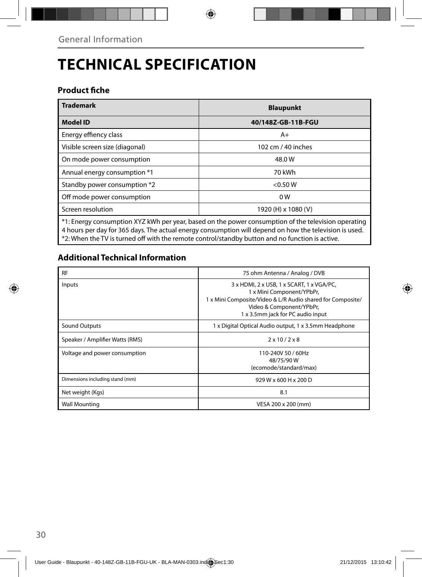# **TECHNICAL SPECIFICATION**

### **Product fiche**

| <b>Trademark</b>                                                                                     | <b>Blaupunkt</b>    |  |  |
|------------------------------------------------------------------------------------------------------|---------------------|--|--|
| <b>Model ID</b>                                                                                      | 40/148Z-GB-11B-FGU  |  |  |
| Energy effiency class                                                                                | $A+$                |  |  |
| Visible screen size (diagonal)                                                                       | 102 cm / 40 inches  |  |  |
| On mode power consumption                                                                            | 48.0W               |  |  |
| Annual energy consumption *1                                                                         | 70 kWh              |  |  |
| Standby power consumption *2                                                                         | < 0.50 W            |  |  |
| Off mode power consumption                                                                           | 0 <sub>W</sub>      |  |  |
| Screen resolution                                                                                    | 1920 (H) x 1080 (V) |  |  |
| t. Energy consumption XYZ kWh per year, based on the power consumption of the television operating * |                     |  |  |

\*1: Energy consumption XYZ kWh per year, based on the power consumption of the television operating 4 hours per day for 365 days. The actual energy consumption will depend on how the television is used. \*2: When the TV is turned off with the remote control/standby button and no function is active.

### **Additional Technical Information**

| <b>RF</b>                       | 75 ohm Antenna / Analog / DVB                                                                                                                                                                         |
|---------------------------------|-------------------------------------------------------------------------------------------------------------------------------------------------------------------------------------------------------|
| Inputs                          | 3 x HDMI, 2 x USB, 1 x SCART, 1 x VGA/PC,<br>1 x Mini Component/YPbPr,<br>1 x Mini Composite/Video & L/R Audio shared for Composite/<br>Video & Component/YPbPr,<br>1 x 3.5mm jack for PC audio input |
| Sound Outputs                   | 1 x Digital Optical Audio output, 1 x 3.5mm Headphone                                                                                                                                                 |
| Speaker / Amplifier Watts (RMS) | $2 \times 10 / 2 \times 8$                                                                                                                                                                            |
| Voltage and power consumption   | 110-240V 50 / 60Hz<br>48/75/90W<br>(ecomode/standard/max)                                                                                                                                             |
| Dimensions including stand (mm) | 929 W x 600 H x 200 D                                                                                                                                                                                 |
| Net weight (Kgs)                | 8.1                                                                                                                                                                                                   |
| <b>Wall Mounting</b>            | VESA 200 x 200 (mm)                                                                                                                                                                                   |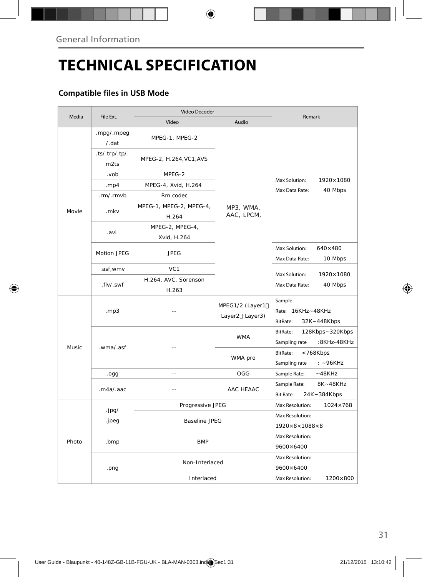# **TECHNICAL SPECIFICATION**

### **Compatible files in USB Mode**

|        |                        | Video Decoder                    |                                   |                                                              |  |
|--------|------------------------|----------------------------------|-----------------------------------|--------------------------------------------------------------|--|
| Media  | File Ext.              | Video                            | Audio                             | Remark                                                       |  |
|        | .mpg/.mpeg<br>/ . dat  | MPEG-1, MPEG-2                   |                                   |                                                              |  |
|        | .ts/.trp/.tp/.<br>m2ts | MPEG-2, H.264, VC1, AVS          |                                   | Max Solution:<br>1920×1080<br>Max Data Rate:<br>40 Mbps      |  |
|        | .vob                   | MPEG-2                           |                                   |                                                              |  |
|        | . $mp4$                | MPEG-4, Xvid, H.264              |                                   |                                                              |  |
|        | .rm/.rmvb              | Rm codec                         |                                   |                                                              |  |
| Movie  | .mkv                   | MPEG-1, MPEG-2, MPEG-4,<br>H.264 | MP3, WMA,<br>AAC, LPCM,           |                                                              |  |
|        | .avi                   | MPEG-2, MPEG-4,<br>Xvid, H.264   |                                   |                                                              |  |
|        | Motion JPEG            | <b>JPEG</b>                      |                                   | Max Solution:<br>$640\times480$<br>Max Data Rate:<br>10 Mbps |  |
|        | .asf,wmv               | VC <sub>1</sub>                  |                                   |                                                              |  |
|        | .flv/.swf              | H.264, AVC, Sorenson<br>H.263    |                                   | Max Solution:<br>1920×1080<br>Max Data Rate:<br>40 Mbps      |  |
|        | .mp3                   |                                  | MPEG1/2 (Layer1<br>Layer2 Layer3) | Sample<br>Rate: 16KHz~48KHz<br>BitRate:<br>32K~448Kbps       |  |
| Music. | .wma/.asf              |                                  | <b>WMA</b>                        | BitRate:<br>128Kbps~320Kbps<br>:8KHz-48KHz<br>Sampling rate  |  |
|        |                        |                                  | WMA pro                           | BitRate:<br><768Kbps<br>Sampling rate<br>$: -96KHz$          |  |
|        | .ogg                   | $\overline{a}$                   | OGG                               | Sample Rate:<br>$-48KHz$                                     |  |
|        | maa/aac                |                                  | AAC HFAAC                         | 8K~48KHz<br>Sample Rate:<br><b>Bit Rate:</b><br>24K~384Kbps  |  |
|        |                        | Progressive JPEG                 |                                   | $1024 \times 768$<br>Max Resolution:                         |  |
| Photo  | .jpg/<br>.jpeg         | <b>Baseline JPEG</b>             |                                   | Max Resolution:                                              |  |
|        |                        |                                  |                                   | $1920\times8\times1088\times8$                               |  |
|        | .bmp                   | <b>BMP</b>                       |                                   | Max Resolution:<br>9600×6400                                 |  |
|        | .png                   | Non-Interlaced                   |                                   | Max Resolution:<br>9600×6400                                 |  |
|        |                        | Interlaced                       |                                   | Max Resolution:<br>1200×800                                  |  |